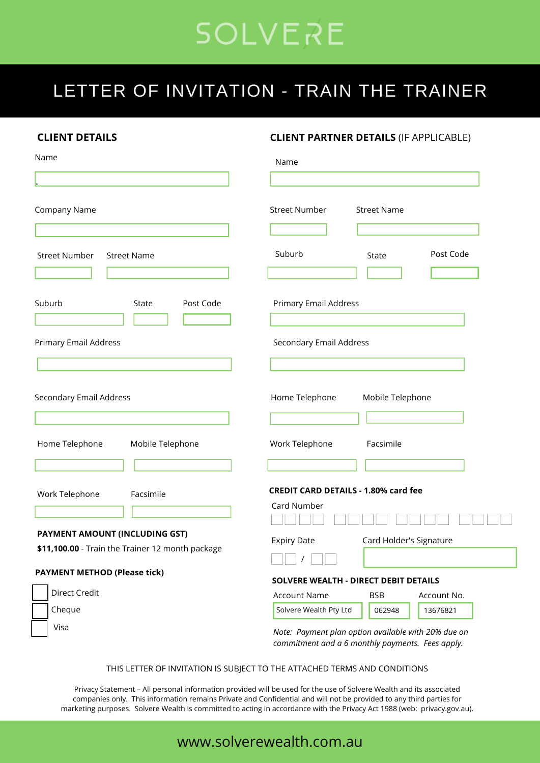# **SOLVERE**

## LETTER OF INVITATION - TRAIN THE TRAINER

| <b>CLIENT DETAILS</b><br>Name                                                             |                    | <b>CLIENT PARTNER DETAILS (IF APPLICABLE)</b><br>Name                                                   |                         |             |              |
|-------------------------------------------------------------------------------------------|--------------------|---------------------------------------------------------------------------------------------------------|-------------------------|-------------|--------------|
|                                                                                           |                    |                                                                                                         |                         |             | Company Name |
| <b>Street Number</b>                                                                      | <b>Street Name</b> | Suburb                                                                                                  | State                   | Post Code   |              |
| Suburb                                                                                    | Post Code<br>State | <b>Primary Email Address</b>                                                                            |                         |             |              |
| Primary Email Address                                                                     |                    | Secondary Email Address                                                                                 |                         |             |              |
|                                                                                           |                    |                                                                                                         |                         |             |              |
| Secondary Email Address                                                                   |                    | Home Telephone<br>Mobile Telephone                                                                      |                         |             |              |
| Home Telephone                                                                            | Mobile Telephone   | Work Telephone                                                                                          | Facsimile               |             |              |
| Work Telephone                                                                            | Facsimile          | <b>CREDIT CARD DETAILS - 1.80% card fee</b><br>Card Number                                              |                         |             |              |
| <b>PAYMENT AMOUNT (INCLUDING GST)</b><br>\$11,100.00 - Train the Trainer 12 month package |                    | <b>Expiry Date</b>                                                                                      | Card Holder's Signature |             |              |
| <b>PAYMENT METHOD (Please tick)</b>                                                       |                    | SOLVERE WEALTH - DIRECT DEBIT DETAILS                                                                   |                         |             |              |
| <b>Direct Credit</b>                                                                      |                    | <b>Account Name</b>                                                                                     | <b>BSB</b>              | Account No. |              |
| Cheque                                                                                    |                    | Solvere Wealth Pty Ltd                                                                                  | 062948                  | 13676821    |              |
| Visa                                                                                      |                    | Note: Payment plan option available with 20% due on<br>commitment and a 6 monthly payments. Fees apply. |                         |             |              |

THIS LETTER OF INVITATION IS SUBJECT TO THE ATTACHED TERMS AND CONDITIONS

Privacy Statement – All personal information provided will be used for the use of Solvere Wealth and its associated companies only. This information remains Private and Confidential and will not be provided to any third parties for marketing purposes. Solvere Wealth is committed to acting in accordance with the Privacy Act 1988 (web: privacy.gov.au).

### www.solverewealth.com.au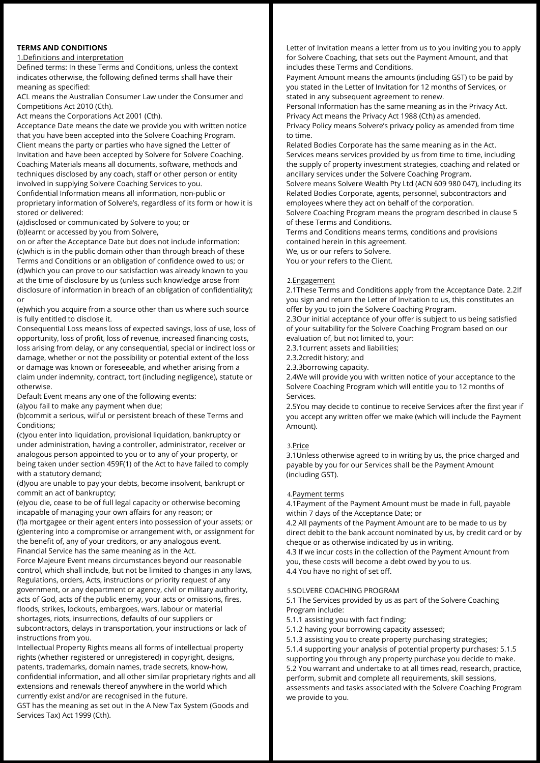#### **TERMS AND CONDITIONS**

#### 1.Definitions and interpretation

Defined terms: In these Terms and Conditions, unless the context indicates otherwise, the following defined terms shall have their meaning as specified:

ACL means the Australian Consumer Law under the Consumer and Competitions Act 2010 (Cth).

Act means the Corporations Act 2001 (Cth).

Acceptance Date means the date we provide you with written notice that you have been accepted into the Solvere Coaching Program. Client means the party or parties who have signed the Letter of Invitation and have been accepted by Solvere for Solvere Coaching. Coaching Materials means all documents, software, methods and techniques disclosed by any coach, staff or other person or entity involved in supplying Solvere Coaching Services to you. Confidential Information means all information, non-public or

proprietary information of Solvere's, regardless of its form or how it is stored or delivered:

(a)disclosed or communicated by Solvere to you; or

(b)learnt or accessed by you from Solvere,

on or after the Acceptance Date but does not include information: (c)which is in the public domain other than through breach of these Terms and Conditions or an obligation of confidence owed to us; or (d)which you can prove to our satisfaction was already known to you at the time of disclosure by us (unless such knowledge arose from disclosure of information in breach of an obligation of confidentiality); or

(e)which you acquire from a source other than us where such source is fully entitled to disclose it.

Consequential Loss means loss of expected savings, loss of use, loss of opportunity, loss of profit, loss of revenue, increased financing costs, loss arising from delay, or any consequential, special or indirect loss or damage, whether or not the possibility or potential extent of the loss or damage was known or foreseeable, and whether arising from a claim under indemnity, contract, tort (including negligence), statute or otherwise.

Default Event means any one of the following events:

(a)you fail to make any payment when due;

(b)commit a serious, wilful or persistent breach of these Terms and Conditions;

(c)you enter into liquidation, provisional liquidation, bankruptcy or under administration, having a controller, administrator, receiver or analogous person appointed to you or to any of your property, or being taken under section 459F(1) of the Act to have failed to comply with a statutory demand;

(d)you are unable to pay your debts, become insolvent, bankrupt or commit an act of bankruptcy;

(e)you die, cease to be of full legal capacity or otherwise becoming incapable of managing your own affairs for any reason; or (f)a mortgagee or their agent enters into possession of your assets; or (g)entering into a compromise or arrangement with, or assignment for the benefit of, any of your creditors, or any analogous event. Financial Service has the same meaning as in the Act.

Force Majeure Event means circumstances beyond our reasonable control, which shall include, but not be limited to changes in any laws, Regulations, orders, Acts, instructions or priority request of any government, or any department or agency, civil or military authority, acts of God, acts of the public enemy, your acts or omissions, fires, floods, strikes, lockouts, embargoes, wars, labour or material shortages, riots, insurrections, defaults of our suppliers or subcontractors, delays in transportation, your instructions or lack of

instructions from you.

Intellectual Property Rights means all forms of intellectual property rights (whether registered or unregistered) in copyright, designs, patents, trademarks, domain names, trade secrets, know-how, confidential information, and all other similar proprietary rights and all extensions and renewals thereof anywhere in the world which currently exist and/or are recognised in the future.

GST has the meaning as set out in the A New Tax System (Goods and Services Tax) Act 1999 (Cth).

Letter of Invitation means a letter from us to you inviting you to apply for Solvere Coaching, that sets out the Payment Amount, and that includes these Terms and Conditions.

Payment Amount means the amounts (including GST) to be paid by you stated in the Letter of Invitation for 12 months of Services, or stated in any subsequent agreement to renew.

Personal Information has the same meaning as in the Privacy Act. Privacy Act means the Privacy Act 1988 (Cth) as amended. Privacy Policy means Solvere's privacy policy as amended from time to time.

Related Bodies Corporate has the same meaning as in the Act. Services means services provided by us from time to time, including the supply of property investment strategies, coaching and related or ancillary services under the Solvere Coaching Program.

Solvere means Solvere Wealth Pty Ltd (ACN 609 980 047), including its Related Bodies Corporate, agents, personnel, subcontractors and employees where they act on behalf of the corporation.

Solvere Coaching Program means the program described in clause 5 of these Terms and Conditions.

Terms and Conditions means terms, conditions and provisions contained herein in this agreement. We, us or our refers to Solvere.

You or your refers to the Client.

#### 2.Engagement

2.1These Terms and Conditions apply from the Acceptance Date. 2.2If you sign and return the Letter of Invitation to us, this constitutes an offer by you to join the Solvere Coaching Program.

2.3Our initial acceptance of your offer is subject to us being satisfied of your suitability for the Solvere Coaching Program based on our evaluation of, but not limited to, your:

2.3.1current assets and liabilities;

2.3.2credit history; and

2.3.3borrowing capacity.

2.4We will provide you with written notice of your acceptance to the Solvere Coaching Program which will entitle you to 12 months of Services.

2.5You may decide to continue to receive Services after the first year if you accept any written offer we make (which will include the Payment Amount).

#### 3.Price

3.1Unless otherwise agreed to in writing by us, the price charged and payable by you for our Services shall be the Payment Amount (including GST).

#### 4.Payment terms

4.1Payment of the Payment Amount must be made in full, payable within 7 days of the Acceptance Date; or

4.2 All payments of the Payment Amount are to be made to us by direct debit to the bank account nominated by us, by credit card or by cheque or as otherwise indicated by us in writing.

4.3 If we incur costs in the collection of the Payment Amount from you, these costs will become a debt owed by you to us. 4.4 You have no right of set off.

#### 5.SOLVERE COACHING PROGRAM

5.1 The Services provided by us as part of the Solvere Coaching Program include:

- 5.1.1 assisting you with fact finding;
- 5.1.2 having your borrowing capacity assessed;

5.1.3 assisting you to create property purchasing strategies; 5.1.4 supporting your analysis of potential property purchases; 5.1.5 supporting you through any property purchase you decide to make. 5.2 You warrant and undertake to at all times read, research, practice, perform, submit and complete all requirements, skill sessions, assessments and tasks associated with the Solvere Coaching Program we provide to you.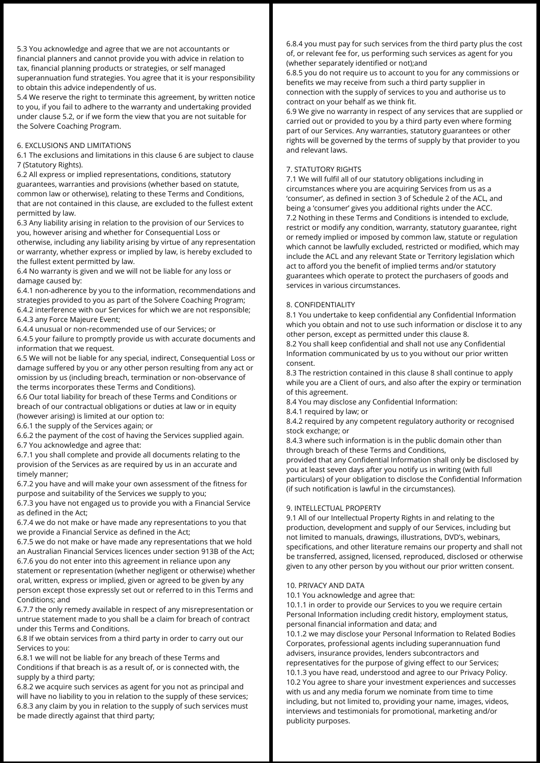5.3 You acknowledge and agree that we are not accountants or financial planners and cannot provide you with advice in relation to tax, financial planning products or strategies, or self managed superannuation fund strategies. You agree that it is your responsibility to obtain this advice independently of us.

5.4 We reserve the right to terminate this agreement, by written notice to you, if you fail to adhere to the warranty and undertaking provided under clause 5.2, or if we form the view that you are not suitable for the Solvere Coaching Program.

#### 6. EXCLUSIONS AND LIMITATIONS

6.1 The exclusions and limitations in this clause 6 are subject to clause 7 (Statutory Rights).

6.2 All express or implied representations, conditions, statutory guarantees, warranties and provisions (whether based on statute, common law or otherwise), relating to these Terms and Conditions, that are not contained in this clause, are excluded to the fullest extent permitted by law.

6.3 Any liability arising in relation to the provision of our Services to you, however arising and whether for Consequential Loss or otherwise, including any liability arising by virtue of any representation or warranty, whether express or implied by law, is hereby excluded to the fullest extent permitted by law.

6.4 No warranty is given and we will not be liable for any loss or damage caused by:

6.4.1 non-adherence by you to the information, recommendations and strategies provided to you as part of the Solvere Coaching Program; 6.4.2 interference with our Services for which we are not responsible; 6.4.3 any Force Majeure Event;

6.4.4 unusual or non-recommended use of our Services; or

6.4.5 your failure to promptly provide us with accurate documents and information that we request.

6.5 We will not be liable for any special, indirect, Consequential Loss or damage suffered by you or any other person resulting from any act or omission by us (including breach, termination or non-observance of the terms incorporates these Terms and Conditions).

6.6 Our total liability for breach of these Terms and Conditions or breach of our contractual obligations or duties at law or in equity (however arising) is limited at our option to:

6.6.1 the supply of the Services again; or

6.6.2 the payment of the cost of having the Services supplied again. 6.7 You acknowledge and agree that:

6.7.1 you shall complete and provide all documents relating to the provision of the Services as are required by us in an accurate and timely manner;

6.7.2 you have and will make your own assessment of the fitness for purpose and suitability of the Services we supply to you;

6.7.3 you have not engaged us to provide you with a Financial Service as defined in the Act;

6.7.4 we do not make or have made any representations to you that we provide a Financial Service as defined in the Act;

6.7.5 we do not make or have made any representations that we hold an Australian Financial Services licences under section 913B of the Act; 6.7.6 you do not enter into this agreement in reliance upon any

statement or representation (whether negligent or otherwise) whether oral, written, express or implied, given or agreed to be given by any person except those expressly set out or referred to in this Terms and Conditions; and

6.7.7 the only remedy available in respect of any misrepresentation or untrue statement made to you shall be a claim for breach of contract under this Terms and Conditions.

6.8 If we obtain services from a third party in order to carry out our Services to you:

6.8.1 we will not be liable for any breach of these Terms and Conditions if that breach is as a result of, or is connected with, the supply by a third party;

6.8.2 we acquire such services as agent for you not as principal and will have no liability to you in relation to the supply of these services; 6.8.3 any claim by you in relation to the supply of such services must be made directly against that third party;

6.8.4 you must pay for such services from the third party plus the cost of, or relevant fee for, us performing such services as agent for you (whether separately identified or not);and

6.8.5 you do not require us to account to you for any commissions or benefits we may receive from such a third party supplier in connection with the supply of services to you and authorise us to contract on your behalf as we think fit.

6.9 We give no warranty in respect of any services that are supplied or carried out or provided to you by a third party even where forming part of our Services. Any warranties, statutory guarantees or other rights will be governed by the terms of supply by that provider to you and relevant laws.

#### 7. STATUTORY RIGHTS

7.1 We will fulfil all of our statutory obligations including in circumstances where you are acquiring Services from us as a 'consumer', as defined in section 3 of Schedule 2 of the ACL, and being a 'consumer' gives you additional rights under the ACC. 7.2 Nothing in these Terms and Conditions is intended to exclude, restrict or modify any condition, warranty, statutory guarantee, right or remedy implied or imposed by common law, statute or regulation which cannot be lawfully excluded, restricted or modified, which may include the ACL and any relevant State or Territory legislation which act to afford you the benefit of implied terms and/or statutory guarantees which operate to protect the purchasers of goods and services in various circumstances.

#### 8. CONFIDENTIALITY

8.1 You undertake to keep confidential any Confidential Information which you obtain and not to use such information or disclose it to any other person, except as permitted under this clause 8.

8.2 You shall keep confidential and shall not use any Confidential Information communicated by us to you without our prior written consent.

8.3 The restriction contained in this clause 8 shall continue to apply while you are a Client of ours, and also after the expiry or termination of this agreement.

8.4 You may disclose any Confidential Information:

8.4.1 required by law; or

8.4.2 required by any competent regulatory authority or recognised stock exchange; or

8.4.3 where such information is in the public domain other than through breach of these Terms and Conditions,

provided that any Confidential Information shall only be disclosed by you at least seven days after you notify us in writing (with full particulars) of your obligation to disclose the Confidential Information (if such notification is lawful in the circumstances).

#### 9. INTELLECTUAL PROPERTY

9.1 All of our Intellectual Property Rights in and relating to the production, development and supply of our Services, including but not limited to manuals, drawings, illustrations, DVD's, webinars, specifications, and other literature remains our property and shall not be transferred, assigned, licensed, reproduced, disclosed or otherwise given to any other person by you without our prior written consent.

#### 10. PRIVACY AND DATA

10.1 You acknowledge and agree that:

10.1.1 in order to provide our Services to you we require certain Personal Information including credit history, employment status, personal financial information and data; and

10.1.2 we may disclose your Personal Information to Related Bodies Corporates, professional agents including superannuation fund advisers, insurance provides, lenders subcontractors and representatives for the purpose of giving effect to our Services; 10.1.3 you have read, understood and agree to our Privacy Policy. 10.2 You agree to share your investment experiences and successes with us and any media forum we nominate from time to time including, but not limited to, providing your name, images, videos, interviews and testimonials for promotional, marketing and/or publicity purposes.